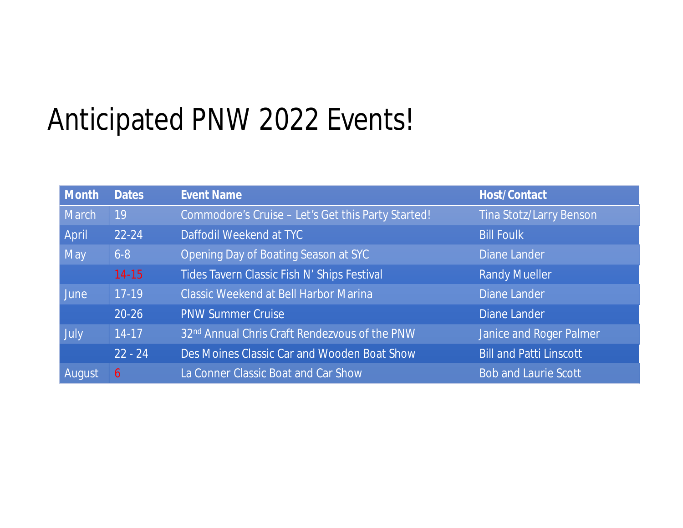## Anticipated PNW 2022 Events!

| Month         | <b>Dates</b> | <b>Event Name</b>                                  | <b>Host/Contact</b>            |
|---------------|--------------|----------------------------------------------------|--------------------------------|
| <b>March</b>  | 19           | Commodore's Cruise - Let's Get this Party Started! | <b>Tina Stotz/Larry Benson</b> |
| April         | 22-24        | Daffodil Weekend at TYC                            | <b>Bill Foulk</b>              |
| <b>May</b>    | $6 - 8$      | Opening Day of Boating Season at SYC               | <b>Diane Lander</b>            |
|               | $14 - 15$    | Tides Tavern Classic Fish N' Ships Festival        | <b>Randy Mueller</b>           |
| <b>June</b>   | $17-19$      | <b>Classic Weekend at Bell Harbor Marina</b>       | <b>Diane Lander</b>            |
|               | $20 - 26$    | <b>PNW Summer Cruise</b>                           | <b>Diane Lander</b>            |
| July          | $14-17$      | 32nd Annual Chris Craft Rendezvous of the PNW      | <b>Janice and Roger Palmer</b> |
|               | $22 - 24$    | Des Moines Classic Car and Wooden Boat Show        | <b>Bill and Patti Linscott</b> |
| <b>August</b> | 6            | La Conner Classic Boat and Car Show                | <b>Bob and Laurie Scott</b>    |